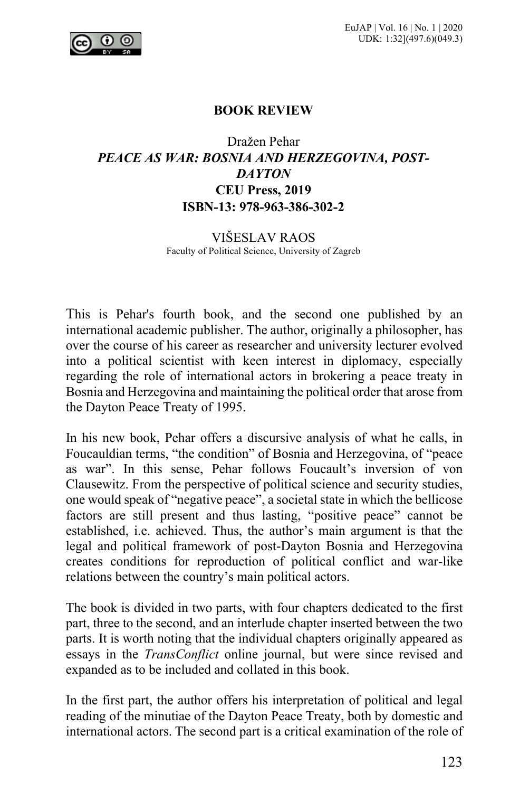

## **BOOK REVIEW**

## Dražen Pehar *PEACE AS WAR: BOSNIA AND HERZEGOVINA, POST-DAYTON* **CEU Press, 2019 ISBN-13: 978-963-386-302-2**

## VIŠESLAV RAOS Faculty of Political Science, University of Zagreb

This is Pehar's fourth book, and the second one published by an international academic publisher. The author, originally a philosopher, has over the course of his career as researcher and university lecturer evolved into a political scientist with keen interest in diplomacy, especially regarding the role of international actors in brokering a peace treaty in Bosnia and Herzegovina and maintaining the political order that arose from the Dayton Peace Treaty of 1995.

In his new book, Pehar offers a discursive analysis of what he calls, in Foucauldian terms, "the condition" of Bosnia and Herzegovina, of "peace as war". In this sense, Pehar follows Foucault's inversion of von Clausewitz. From the perspective of political science and security studies, one would speak of "negative peace", a societal state in which the bellicose factors are still present and thus lasting, "positive peace" cannot be established, i.e. achieved. Thus, the author's main argument is that the legal and political framework of post-Dayton Bosnia and Herzegovina creates conditions for reproduction of political conflict and war-like relations between the country's main political actors.

The book is divided in two parts, with four chapters dedicated to the first part, three to the second, and an interlude chapter inserted between the two parts. It is worth noting that the individual chapters originally appeared as essays in the *TransConflict* online journal, but were since revised and expanded as to be included and collated in this book.

In the first part, the author offers his interpretation of political and legal reading of the minutiae of the Dayton Peace Treaty, both by domestic and international actors. The second part is a critical examination of the role of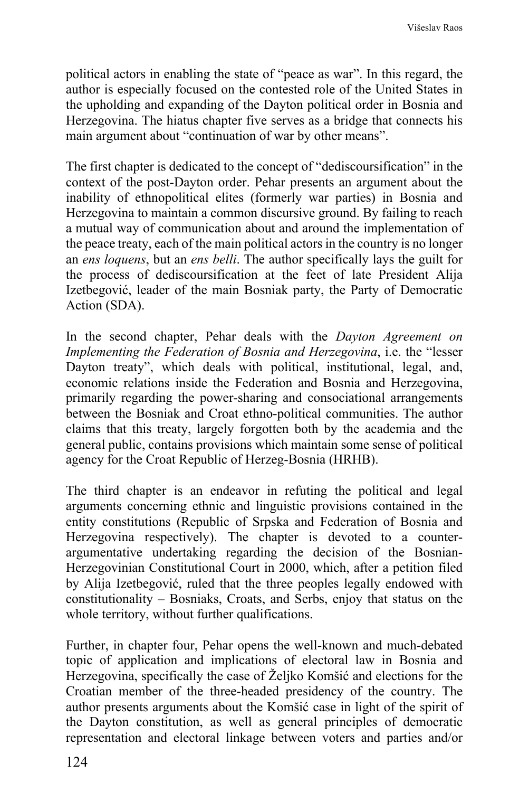political actors in enabling the state of "peace as war". In this regard, the author is especially focused on the contested role of the United States in the upholding and expanding of the Dayton political order in Bosnia and Herzegovina. The hiatus chapter five serves as a bridge that connects his main argument about "continuation of war by other means".

The first chapter is dedicated to the concept of "dediscoursification" in the context of the post-Dayton order. Pehar presents an argument about the inability of ethnopolitical elites (formerly war parties) in Bosnia and Herzegovina to maintain a common discursive ground. By failing to reach a mutual way of communication about and around the implementation of the peace treaty, each of the main political actors in the country is no longer an *ens loquens*, but an *ens belli*. The author specifically lays the guilt for the process of dediscoursification at the feet of late President Alija Izetbegović, leader of the main Bosniak party, the Party of Democratic Action (SDA).

In the second chapter, Pehar deals with the *Dayton Agreement on Implementing the Federation of Bosnia and Herzegovina*, i.e. the "lesser Dayton treaty", which deals with political, institutional, legal, and, economic relations inside the Federation and Bosnia and Herzegovina, primarily regarding the power-sharing and consociational arrangements between the Bosniak and Croat ethno-political communities. The author claims that this treaty, largely forgotten both by the academia and the general public, contains provisions which maintain some sense of political agency for the Croat Republic of Herzeg-Bosnia (HRHB).

The third chapter is an endeavor in refuting the political and legal arguments concerning ethnic and linguistic provisions contained in the entity constitutions (Republic of Srpska and Federation of Bosnia and Herzegovina respectively). The chapter is devoted to a counterargumentative undertaking regarding the decision of the Bosnian-Herzegovinian Constitutional Court in 2000, which, after a petition filed by Alija Izetbegović, ruled that the three peoples legally endowed with constitutionality – Bosniaks, Croats, and Serbs, enjoy that status on the whole territory, without further qualifications.

Further, in chapter four, Pehar opens the well-known and much-debated topic of application and implications of electoral law in Bosnia and Herzegovina, specifically the case of Željko Komšić and elections for the Croatian member of the three-headed presidency of the country. The author presents arguments about the Komšić case in light of the spirit of the Dayton constitution, as well as general principles of democratic representation and electoral linkage between voters and parties and/or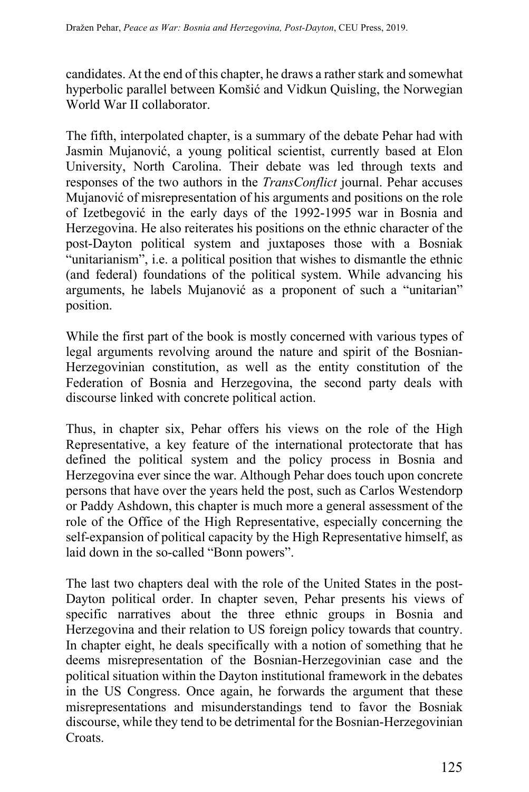candidates. At the end of this chapter, he draws a rather stark and somewhat hyperbolic parallel between Komšić and Vidkun Quisling, the Norwegian World War II collaborator.

The fifth, interpolated chapter, is a summary of the debate Pehar had with Jasmin Mujanović, a young political scientist, currently based at Elon University, North Carolina. Their debate was led through texts and responses of the two authors in the *TransConflict* journal. Pehar accuses Mujanović of misrepresentation of his arguments and positions on the role of Izetbegović in the early days of the 1992-1995 war in Bosnia and Herzegovina. He also reiterates his positions on the ethnic character of the post-Dayton political system and juxtaposes those with a Bosniak "unitarianism", i.e. a political position that wishes to dismantle the ethnic (and federal) foundations of the political system. While advancing his arguments, he labels Mujanović as a proponent of such a "unitarian" position.

While the first part of the book is mostly concerned with various types of legal arguments revolving around the nature and spirit of the Bosnian-Herzegovinian constitution, as well as the entity constitution of the Federation of Bosnia and Herzegovina, the second party deals with discourse linked with concrete political action.

Thus, in chapter six, Pehar offers his views on the role of the High Representative, a key feature of the international protectorate that has defined the political system and the policy process in Bosnia and Herzegovina ever since the war. Although Pehar does touch upon concrete persons that have over the years held the post, such as Carlos Westendorp or Paddy Ashdown, this chapter is much more a general assessment of the role of the Office of the High Representative, especially concerning the self-expansion of political capacity by the High Representative himself, as laid down in the so-called "Bonn powers".

The last two chapters deal with the role of the United States in the post-Dayton political order. In chapter seven, Pehar presents his views of specific narratives about the three ethnic groups in Bosnia and Herzegovina and their relation to US foreign policy towards that country. In chapter eight, he deals specifically with a notion of something that he deems misrepresentation of the Bosnian-Herzegovinian case and the political situation within the Dayton institutional framework in the debates in the US Congress. Once again, he forwards the argument that these misrepresentations and misunderstandings tend to favor the Bosniak discourse, while they tend to be detrimental for the Bosnian-Herzegovinian Croats.